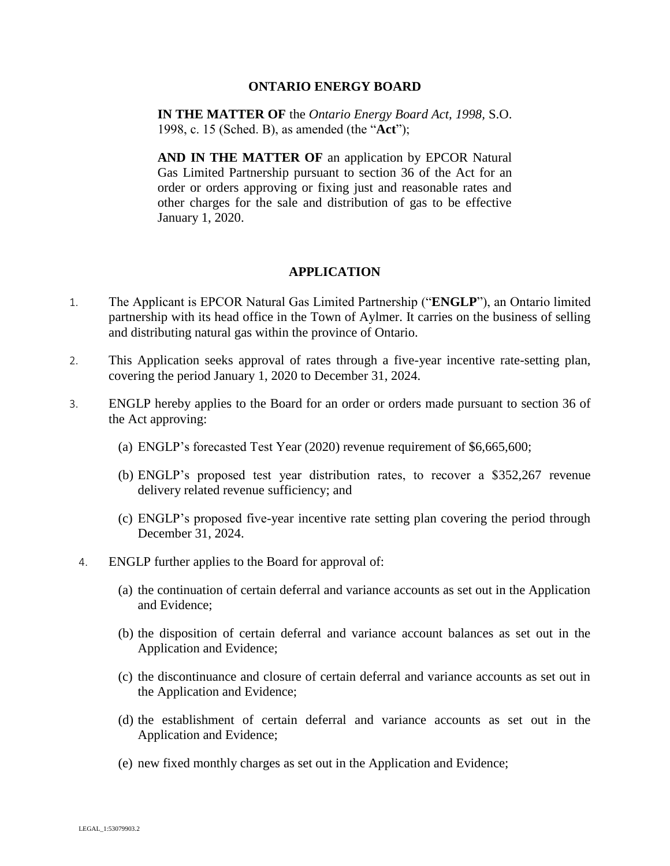## **ONTARIO ENERGY BOARD**

**IN THE MATTER OF** the *Ontario Energy Board Act, 1998,* S.O. 1998, c. 15 (Sched. B), as amended (the "**Act**");

**AND IN THE MATTER OF an application by EPCOR Natural** Gas Limited Partnership pursuant to section 36 of the Act for an order or orders approving or fixing just and reasonable rates and other charges for the sale and distribution of gas to be effective January 1, 2020.

## **APPLICATION**

- 1. The Applicant is EPCOR Natural Gas Limited Partnership ("**ENGLP**"), an Ontario limited partnership with its head office in the Town of Aylmer. It carries on the business of selling and distributing natural gas within the province of Ontario.
- 2. This Application seeks approval of rates through a five-year incentive rate-setting plan, covering the period January 1, 2020 to December 31, 2024.
- 3. ENGLP hereby applies to the Board for an order or orders made pursuant to section 36 of the Act approving:
	- (a) ENGLP's forecasted Test Year (2020) revenue requirement of \$6,665,600;
	- (b) ENGLP's proposed test year distribution rates, to recover a \$352,267 revenue delivery related revenue sufficiency; and
	- (c) ENGLP's proposed five-year incentive rate setting plan covering the period through December 31, 2024.
	- 4. ENGLP further applies to the Board for approval of:
		- (a) the continuation of certain deferral and variance accounts as set out in the Application and Evidence;
		- (b) the disposition of certain deferral and variance account balances as set out in the Application and Evidence;
		- (c) the discontinuance and closure of certain deferral and variance accounts as set out in the Application and Evidence;
		- (d) the establishment of certain deferral and variance accounts as set out in the Application and Evidence;
		- (e) new fixed monthly charges as set out in the Application and Evidence;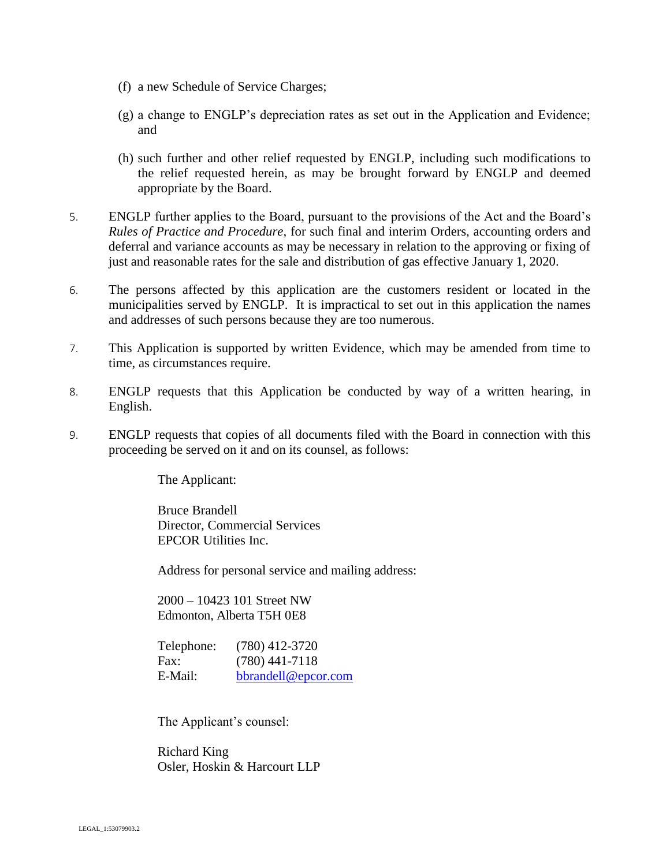- (f) a new Schedule of Service Charges;
- (g) a change to ENGLP's depreciation rates as set out in the Application and Evidence; and
- (h) such further and other relief requested by ENGLP, including such modifications to the relief requested herein, as may be brought forward by ENGLP and deemed appropriate by the Board.
- 5. ENGLP further applies to the Board, pursuant to the provisions of the Act and the Board's *Rules of Practice and Procedure*, for such final and interim Orders, accounting orders and deferral and variance accounts as may be necessary in relation to the approving or fixing of just and reasonable rates for the sale and distribution of gas effective January 1, 2020.
- 6. The persons affected by this application are the customers resident or located in the municipalities served by ENGLP. It is impractical to set out in this application the names and addresses of such persons because they are too numerous.
- 7. This Application is supported by written Evidence, which may be amended from time to time, as circumstances require.
- 8. ENGLP requests that this Application be conducted by way of a written hearing, in English.
- 9. ENGLP requests that copies of all documents filed with the Board in connection with this proceeding be served on it and on its counsel, as follows:

The Applicant:

Bruce Brandell Director, Commercial Services EPCOR Utilities Inc.

Address for personal service and mailing address:

2000 – 10423 101 Street NW Edmonton, Alberta T5H 0E8

Telephone: (780) 412-3720 Fax: (780) 441-7118 E-Mail: bbrandell@epcor.com

The Applicant's counsel:

Richard King Osler, Hoskin & Harcourt LLP